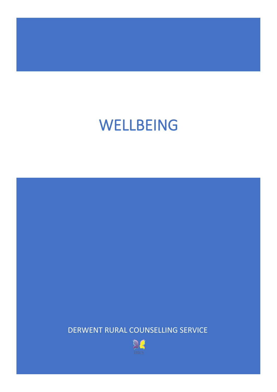DERWENT RURAL COUNSELLING SERVICE

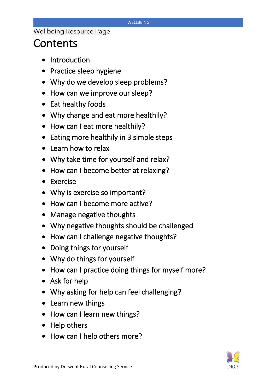## **Contents**

- Introduction
- Practice sleep hygiene
- Why do we develop sleep problems?
- How can we improve our sleep?
- Eat healthy foods
- Why change and eat more healthily?
- How can I eat more healthily?
- Eating more healthily in 3 simple steps
- Learn how to relax
- Why take time for yourself and relax?
- How can I become better at relaxing?
- Exercise
- Why is exercise so important?
- How can I become more active?
- Manage negative thoughts
- Why negative thoughts should be challenged
- How can I challenge negative thoughts?
- Doing things for yourself
- Why do things for yourself
- How can I practice doing things for myself more?
- Ask for help
- Why asking for help can feel challenging?
- Learn new things
- How can I learn new things?
- Help others
- How can I help others more?

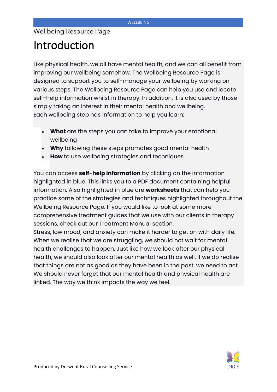## Introduction

Like physical health, we all have mental health, and we can all benefit from improving our wellbeing somehow. The Wellbeing Resource Page is designed to support you to self-manage your wellbeing by working on various steps. The Wellbeing Resource Page can help you use and locate self-help information whilst in therapy. In addition, it is also used by those simply taking an interest in their mental health and wellbeing. Each wellbeing step has information to help you learn:

- **What** are the steps you can take to improve your emotional wellbeing
- **Why** following these steps promotes good mental health
- **How** to use wellbeing strategies and techniques

You can access **self-help information** by clicking on the information highlighted in blue. This links you to a PDF document containing helpful information. Also highlighted in blue are **worksheets** that can help you practice some of the strategies and techniques highlighted throughout the Wellbeing Resource Page. If you would like to look at some more comprehensive treatment guides that we use with our clients in therapy sessions, check out our Treatment Manual section.

Stress, low mood, and anxiety can make it harder to get on with daily life. When we realise that we are struggling, we should not wait for mental health challenges to happen. Just like how we look after our physical health, we should also look after our mental health as well. If we do realise that things are not as good as they have been in the past, we need to act. We should never forget that our mental health and physical health are linked. The way we think impacts the way we feel.

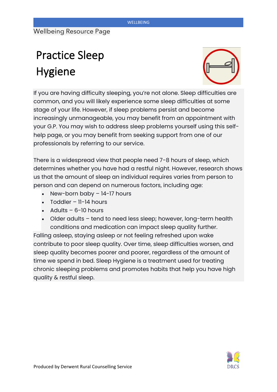# Practice Sleep Hygiene



If you are having difficulty sleeping, you're not alone. Sleep difficulties are common, and you will likely experience some sleep difficulties at some stage of your life. However, if sleep problems persist and become increasingly unmanageable, you may benefit from an appointment with your G.P. You may wish to address sleep problems yourself using this selfhelp page, or you may benefit from seeking support from one of our professionals by referring to our service.

There is a widespread view that people need 7-8 hours of sleep, which determines whether you have had a restful night. However, research shows us that the amount of sleep an individual requires varies from person to person and can depend on numerous factors, including age:

- New-born baby 14-17 hours
- Toddler 11-14 hours
- $\bullet$  Adults 6-10 hours
- Older adults tend to need less sleep; however, long-term health conditions and medication can impact sleep quality further.

Falling asleep, staying asleep or not feeling refreshed upon wake contribute to poor sleep quality. Over time, sleep difficulties worsen, and sleep quality becomes poorer and poorer, regardless of the amount of time we spend in bed. Sleep Hygiene is a treatment used for treating chronic sleeping problems and promotes habits that help you have high quality & restful sleep.

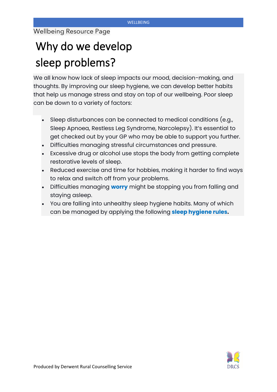# Why do we develop sleep problems?

We all know how lack of sleep impacts our mood, decision-making, and thoughts. By improving our sleep hygiene, we can develop better habits that help us manage stress and stay on top of our wellbeing. Poor sleep can be down to a variety of factors:

- Sleep disturbances can be connected to medical conditions (e.g., Sleep Apnoea, Restless Leg Syndrome, Narcolepsy). It's essential to get checked out by your GP who may be able to support you further.
- Difficulties managing stressful circumstances and pressure.
- Excessive drug or alcohol use stops the body from getting complete restorative levels of sleep.
- Reduced exercise and time for hobbies, making it harder to find ways to relax and switch off from your problems.
- Difficulties managing **worry** might be stopping you from falling and staying asleep.
- You are falling into unhealthy sleep hygiene habits. Many of which can be managed by applying the following **sleep hygiene rules.**

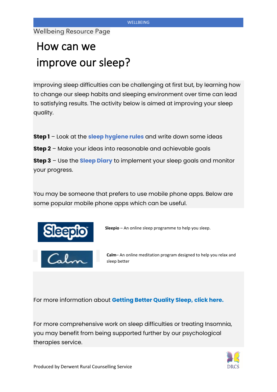# How can we improve our sleep?

Improving sleep difficulties can be challenging at first but, by learning how to change our sleep habits and sleeping environment over time can lead to satisfying results. The activity below is aimed at improving your sleep quality.

- **Step 1** Look at the **sleep hygiene rules** and write down some ideas
- **Step 2** Make your ideas into reasonable and achievable goals

**Step 3** – Use the **Sleep Diary** to implement your sleep goals and monitor your progress.

You may be someone that prefers to use mobile phone apps. Below are some popular mobile phone apps which can be useful.



**Sleepio** – An online sleep programme to help you sleep.

**Calm**– An online meditation program designed to help you relax and sleep better

For more information about **Getting Better Quality Sleep, click here.**

For more comprehensive work on sleep difficulties or treating Insomnia, you may benefit from being supported further by our psychological therapies service.

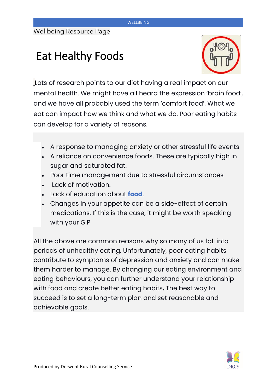## Eat Healthy Foods



Lots of research points to our diet having a real impact on our mental health. We might have all heard the expression 'brain food', and we have all probably used the term 'comfort food'. What we eat can impact how we think and what we do. Poor eating habits can develop for a variety of reasons.

- A response to managing anxiety or other stressful life events
- A reliance on convenience foods. These are typically high in sugar and saturated fat.
- Poor time management due to stressful circumstances
- Lack of motivation.
- Lack of education about **food**.
- Changes in your appetite can be a side-effect of certain medications. If this is the case, it might be worth speaking with your G.P

All the above are common reasons why so many of us fall into periods of unhealthy eating. Unfortunately, poor eating habits contribute to symptoms of depression and anxiety and can make them harder to manage. By changing our eating environment and eating behaviours, you can further understand your relationship with food and create better eating habits**.** The best way to succeed is to set a long-term plan and set reasonable and achievable goals.

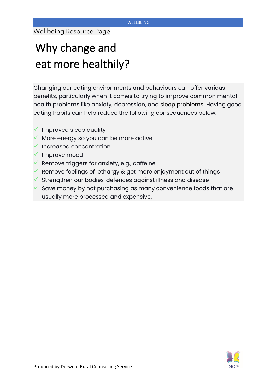# Why change and eat more healthily?

Changing our eating environments and behaviours can offer various benefits, particularly when it comes to trying to improve common mental health problems like anxiety, depression, and sleep problems. Having good eating habits can help reduce the following consequences below.

- $\checkmark$  Improved sleep quality
- $\checkmark$  More energy so you can be more active
- $\checkmark$  Increased concentration
- ✓ Improve mood
- $\checkmark$  Remove triggers for anxiety, e.g., caffeine
- $\checkmark$  Remove feelings of lethargy & get more enjoyment out of things
- $\checkmark$  Strengthen our bodies' defences against illness and disease
- Save money by not purchasing as many convenience foods that are usually more processed and expensive.

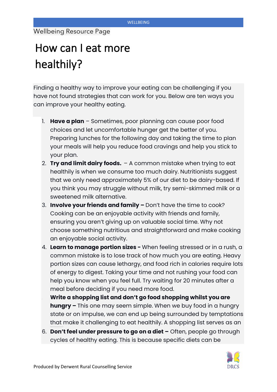# How can I eat more healthily?

Finding a healthy way to improve your eating can be challenging if you have not found strategies that can work for you. Below are ten ways you can improve your healthy eating.

- 1. **Have a plan** Sometimes, poor planning can cause poor food choices and let uncomfortable hunger get the better of you. Preparing lunches for the following day and taking the time to plan your meals will help you reduce food cravings and help you stick to your plan.
- 2. **Try and limit dairy foods.**  A common mistake when trying to eat healthily is when we consume too much dairy. Nutritionists suggest that we only need approximately 5% of our diet to be dairy-based. If you think you may struggle without milk, try semi-skimmed milk or a sweetened milk alternative.
- 3. **Involve your friends and family –** Don't have the time to cook? Cooking can be an enjoyable activity with friends and family, ensuring you aren't giving up on valuable social time. Why not choose something nutritious and straightforward and make cooking an enjoyable social activity.
- 4. **Learn to manage portion sizes -** When feeling stressed or in a rush, a common mistake is to lose track of how much you are eating. Heavy portion sizes can cause lethargy, and food rich in calories require lots of energy to digest. Taking your time and not rushing your food can help you know when you feel full. Try waiting for 20 minutes after a meal before deciding if you need more food.
- 5. **Write a shopping list and don't go food shopping whilst you are hungry –** This one may seem simple. When we buy food in a hungry state or on impulse, we can end up being surrounded by temptations that make it challenging to eat healthily. A shopping list serves as an
- 6. **Don't feel under pressure to go on a diet –** Often, people go through cycles of healthy eating. This is because specific diets can be

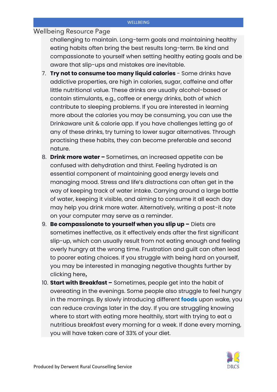challenging to maintain. Long-term goals and maintaining healthy eating habits often bring the best results long-term. Be kind and compassionate to yourself when setting healthy eating goals and be aware that slip-ups and mistakes are inevitable.

- 7. **Try not to consume too many liquid calories**  Some drinks have addictive properties, are high in calories, sugar, caffeine and offer little nutritional value. These drinks are usually alcohol-based or contain stimulants, e.g., coffee or energy drinks, both of which contribute to sleeping problems. If you are interested in learning more about the calories you may be consuming, you can use the Drinkaware unit & calorie app. If you have challenges letting go of any of these drinks, try turning to lower sugar alternatives. Through practising these habits, they can become preferable and second nature.
- 8. **Drink more water –** Sometimes, an increased appetite can be confused with dehydration and thirst. Feeling hydrated is an essential component of maintaining good energy levels and managing mood. Stress and life's distractions can often get in the way of keeping track of water intake. Carrying around a large bottle of water, keeping it visible, and aiming to consume it all each day may help you drink more water. Alternatively, writing a post-it note on your computer may serve as a reminder.
- 9. **Be compassionate to yourself when you slip up –** Diets are sometimes ineffective, as it effectively ends after the first significant slip-up, which can usually result from not eating enough and feeling overly hungry at the wrong time. Frustration and guilt can often lead to poorer eating choices. If you struggle with being hard on yourself, you may be interested in managing negative thoughts further by clicking here**.**
- 10. **Start with Breakfast –** Sometimes, people get into the habit of overeating in the evenings. Some people also struggle to feel hungry in the mornings. By slowly introducing different **foods** upon wake, you can reduce cravings later in the day. If you are struggling knowing where to start with eating more healthily, start with trying to eat a nutritious breakfast every morning for a week. If done every morning, you will have taken care of 33% of your diet.

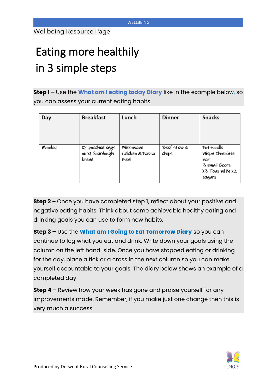# Eating more healthily in 3 simple steps

**Step 1 –** Use the **What am I eating today Diary** like in the example below, so you can assess your current eating habits.

| Day    | <b>Breakfast</b>                            | Lunch                                | <b>Dinner</b>        | <b>Snacks</b>                                                                      |
|--------|---------------------------------------------|--------------------------------------|----------------------|------------------------------------------------------------------------------------|
| Monday | X2 poached eggs<br>on X1 Sourdough<br>bread | Microwave<br>Chicken & Pasta<br>meal | Beef stew &<br>chips | Pot-noodle<br>Wispa Chocolate<br>bar<br>3 small Beers<br>X3 Teas with X2<br>sugars |

**Step 2 –** Once you have completed step 1, reflect about your positive and negative eating habits. Think about some achievable healthy eating and drinking goals you can use to form new habits.

**Step 3 –** Use the **What am I Going to Eat Tomorrow Diary** so you can continue to log what you eat and drink. Write down your goals using the column on the left hand-side. Once you have stopped eating or drinking for the day, place a tick or a cross in the next column so you can make yourself accountable to your goals. The diary below shows an example of a completed day

**Step 4 –** Review how your week has gone and praise yourself for any improvements made. Remember, if you make just one change then this is very much a success.

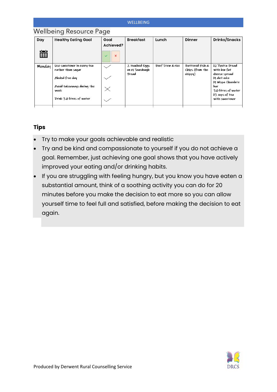## Wellbeing Resource Page

| Day    | <b>Healthy Eating Goal</b>         | Goal<br>Achieved?            | <b>Breakfast</b> | Lunch            | Dinner          | Drinks/Snacks                                       |
|--------|------------------------------------|------------------------------|------------------|------------------|-----------------|-----------------------------------------------------|
| 當      |                                    | $\mathsf{x}$<br>$\checkmark$ |                  |                  |                 |                                                     |
| Monday | Use sweetener in every tea         |                              | 2 Poached Eggs   | Beef Stew & rice | Battered Fish & | X2 Ryvita Bread                                     |
|        | rather than sugar                  |                              | on X1 Sourdough  |                  | Chips (from the | with low fat                                        |
|        | Alcohol-free day                   |                              | <b>Bread</b>     |                  | chippy)         | cheese spread<br>X1 diet coke<br>X1 Wispa Chocolate |
|        | Avoid takeaways during the<br>week | $\times$                     |                  |                  |                 | bar<br>3.0 litres of water                          |
|        | Drink 3.0 litres of water          |                              |                  |                  |                 | X3 cups of tea<br>with sweetener                    |
|        |                                    |                              |                  |                  |                 |                                                     |

### **Tips**

- Try to make your goals achievable and realistic
- Try and be kind and compassionate to yourself if you do not achieve a goal. Remember, just achieving one goal shows that you have actively improved your eating and/or drinking habits.
- If you are struggling with feeling hungry, but you know you have eaten a substantial amount, think of a soothing activity you can do for 20 minutes before you make the decision to eat more so you can allow yourself time to feel full and satisfied, before making the decision to eat again.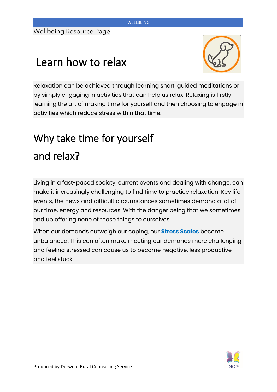## Learn how to relax



Relaxation can be achieved through learning short, guided meditations or by simply engaging in activities that can help us relax. Relaxing is firstly learning the art of making time for yourself and then choosing to engage in activities which reduce stress within that time.

## Why take time for yourself and relax?

Living in a fast-paced society, current events and dealing with change, can make it increasingly challenging to find time to practice relaxation. Key life events, the news and difficult circumstances sometimes demand a lot of our time, energy and resources. With the danger being that we sometimes end up offering none of those things to ourselves.

When our demands outweigh our coping, our **Stress Scales** become unbalanced. This can often make meeting our demands more challenging and feeling stressed can cause us to become negative, less productive and feel stuck.

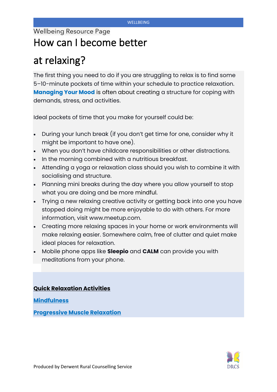## Wellbeing Resource Page How can I become better

## at relaxing?

The first thing you need to do if you are struggling to relax is to find some 5–10-minute pockets of time within your schedule to practice relaxation. **Managing Your Mood** is often about creating a structure for coping with demands, stress, and activities.

Ideal pockets of time that you make for yourself could be:

- During your lunch break (if you don't get time for one, consider why it might be important to have one).
- When you don't have childcare responsibilities or other distractions.
- In the morning combined with a nutritious breakfast.
- Attending a yoga or relaxation class should you wish to combine it with socialising and structure.
- Planning mini breaks during the day where you allow yourself to stop what you are doing and be more mindful.
- Trying a new relaxing creative activity or getting back into one you have stopped doing might be more enjoyable to do with others. For more information, visit www.meetup.com.
- Creating more relaxing spaces in your home or work environments will make relaxing easier. Somewhere calm, free of clutter and quiet make ideal places for relaxation.
- Mobile phone apps like **Sleepio** and **CALM** can provide you with meditations from your phone.

### **Quick Relaxation Activities**

**Mindfulness** 

**Progressive Muscle Relaxation** 

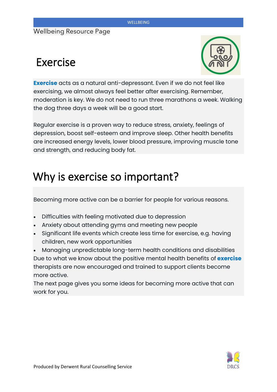## Exercise



**Exercise** acts as a natural anti-depressant. Even if we do not feel like exercising, we almost always feel better after exercising. Remember, moderation is key. We do not need to run three marathons a week. Walking the dog three days a week will be a good start.

Regular exercise is a proven way to reduce stress, anxiety, feelings of depression, boost self-esteem and improve sleep. Other health benefits are increased energy levels, lower blood pressure, improving muscle tone and strength, and reducing body fat.

## Why is exercise so important?

Becoming more active can be a barrier for people for various reasons.

- Difficulties with feeling motivated due to depression
- Anxiety about attending gyms and meeting new people
- Significant life events which create less time for exercise, e.g. having children, new work opportunities
- Managing unpredictable long-term health conditions and disabilities Due to what we know about the positive mental health benefits of **exercise** therapists are now encouraged and trained to support clients become more active.

The next page gives you some ideas for becoming more active that can work for you.

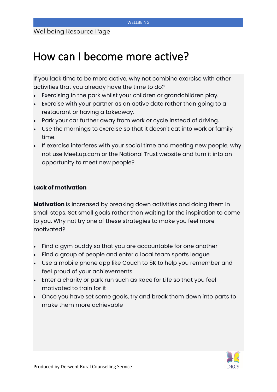## How can I become more active?

If you lack time to be more active, why not combine exercise with other activities that you already have the time to do?

- Exercising in the park whilst your children or grandchildren play.
- Exercise with your partner as an active date rather than going to a restaurant or having a takeaway.
- Park your car further away from work or cycle instead of driving.
- Use the mornings to exercise so that it doesn't eat into work or family time.
- If exercise interferes with your social time and meeting new people, why not use Meet.up.com or the National Trust website and turn it into an opportunity to meet new people?

### **Lack of motivation**

**Motivation** is increased by breaking down activities and doing them in small steps. Set small goals rather than waiting for the inspiration to come to you. Why not try one of these strategies to make you feel more motivated?

- Find a gym buddy so that you are accountable for one another
- Find a group of people and enter a local team sports league
- Use a mobile phone app like Couch to 5K to help you remember and feel proud of your achievements
- Enter a charity or park run such as Race for Life so that you feel motivated to train for it
- Once you have set some goals, try and break them down into parts to make them more achievable

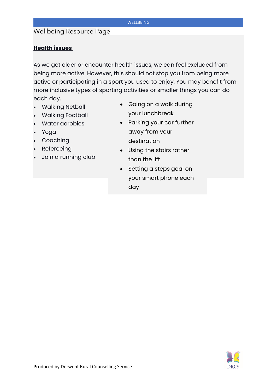## Wellbeing Resource Page

### **Health issues**

As we get older or encounter health issues, we can feel excluded from being more active. However, this should not stop you from being more active or participating in a sport you used to enjoy. You may benefit from more inclusive types of sporting activities or smaller things you can do each day.

- Walking Netball
- Walking Football
- Water aerobics
- Yoga
- Coaching
- Refereeing
- Join a running club
- Going on a walk during your lunchbreak
- Parking your car further away from your destination
- Using the stairs rather than the lift
- Setting a steps goal on your smart phone each day

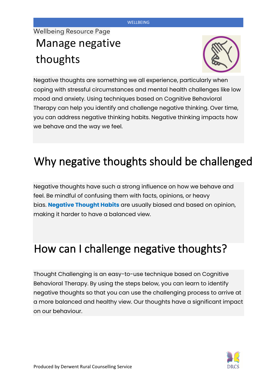## Wellbeing Resource Page Manage negative thoughts



Negative thoughts are something we all experience, particularly when coping with stressful circumstances and mental health challenges like low mood and anxiety. Using techniques based on Cognitive Behavioral Therapy can help you identify and challenge negative thinking. Over time, you can address negative thinking habits. Negative thinking impacts how we behave and the way we feel.

# Why negative thoughts should be challenged

Negative thoughts have such a strong influence on how we behave and feel. Be mindful of confusing them with facts, opinions, or heavy bias. **Negative Thought Habits** are usually biased and based on opinion, making it harder to have a balanced view.

## How can I challenge negative thoughts?

Thought Challenging is an easy-to-use technique based on Cognitive Behavioral Therapy. By using the steps below, you can learn to identify negative thoughts so that you can use the challenging process to arrive at a more balanced and healthy view. Our thoughts have a significant impact on our behaviour.

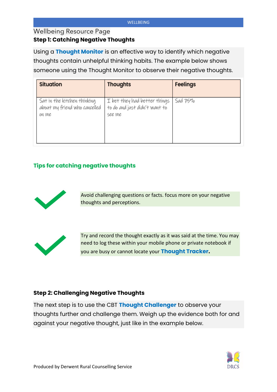### Wellbeing Resource Page

### **Step 1: Catching Negative Thoughts**

Using a **Thought Monitor** is an effective way to identify which negative thoughts contain unhelpful thinking habits. The example below shows someone using the Thought Monitor to observe their negative thoughts.

| <b>Situation</b>                                                      | <b>Thoughts</b>                                                         | Feelings |
|-----------------------------------------------------------------------|-------------------------------------------------------------------------|----------|
| Sat in the kitchen thinking<br>about my friend who cancelled<br>on me | I bet they had better things<br>to do and just didn't want to<br>see me | Sad 75%  |

### **Tips for catching negative thoughts**



Avoid challenging questions or facts. focus more on your negative thoughts and perceptions.



Try and record the thought exactly as it was said at the time. You may need to log these within your mobile phone or private notebook if you are busy or cannot locate your **Thought Tracker.**

### **Step 2: Challenging Negative Thoughts**

The next step is to use the CBT **Thought Challenger** to observe your thoughts further and challenge them. Weigh up the evidence both for and against your negative thought, just like in the example below.

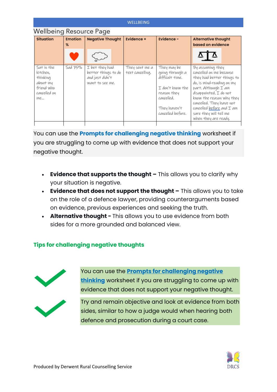| <b>WELLBEING</b>                                                                   |                |                                                                             |                                    |                                                                                                                                         |                                                                                                                                                                                                                                                                                                      |  |  |
|------------------------------------------------------------------------------------|----------------|-----------------------------------------------------------------------------|------------------------------------|-----------------------------------------------------------------------------------------------------------------------------------------|------------------------------------------------------------------------------------------------------------------------------------------------------------------------------------------------------------------------------------------------------------------------------------------------------|--|--|
| Wellbeing Resource Page                                                            |                |                                                                             |                                    |                                                                                                                                         |                                                                                                                                                                                                                                                                                                      |  |  |
| <b>Situation</b>                                                                   | <b>Emotion</b> | <b>Negative Thought</b>                                                     | Evidence +                         | Evidence -                                                                                                                              | <b>Alternative thought</b>                                                                                                                                                                                                                                                                           |  |  |
|                                                                                    | $\%$           |                                                                             |                                    |                                                                                                                                         | based on evidence                                                                                                                                                                                                                                                                                    |  |  |
|                                                                                    |                |                                                                             |                                    |                                                                                                                                         |                                                                                                                                                                                                                                                                                                      |  |  |
| Sat in the<br>kitchen,<br>thinking<br>about my<br>friend who<br>cancelled on<br>ME | Sad 7570       | I bet they had<br>better things to do<br>and just didn't<br>want to see me. | They sent me a<br>text cancelling. | They may be<br>going through a<br>difficult time.<br>I don't know the<br>reason they<br>cancelled.<br>They haven't<br>cancelled before. | By assuming they<br>cancelled on me because<br>they had better things to<br>do, is mind-reading on my<br>part. Although I am<br>disappointed, I do not<br>know the reason why they<br>cancelled. They have not<br>cancelled <u>before</u> and I am<br>sure they will tell me<br>when they are ready. |  |  |
|                                                                                    |                |                                                                             |                                    |                                                                                                                                         |                                                                                                                                                                                                                                                                                                      |  |  |

You can use the **Prompts for challenging negative thinking** worksheet if you are struggling to come up with evidence that does not support your negative thought.

- **Evidence that supports the thought -** This allows you to clarify why your situation is negative.
- **Evidence that does not support the thought -** This allows you to take on the role of a defence lawyer, providing counterarguments based on evidence, previous experiences and seeking the truth.
- **Alternative thought -** This allows you to use evidence from both sides for a more grounded and balanced view.

## **Tips for challenging negative thoughts**



You can use the **Prompts for challenging negative thinking** worksheet if you are struggling to come up with evidence that does not support your negative thought.

Try and remain objective and look at evidence from both sides, similar to how a judge would when hearing both defence and prosecution during a court case.

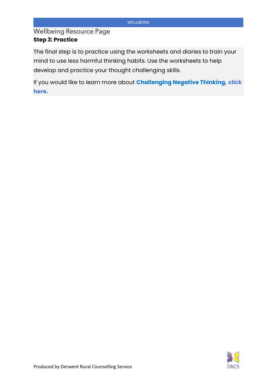Wellbeing Resource Page **Step 3: Practice** 

The final step is to practice using the worksheets and diaries to train your mind to use less harmful thinking habits. Use the worksheets to help develop and practice your thought challenging skills.

If you would like to learn more about **Challenging Negative Thinking, click here.**

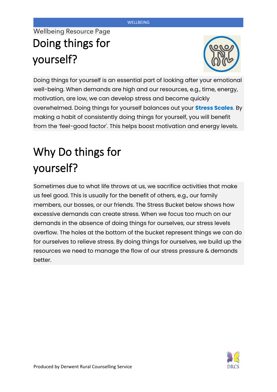## Wellbeing Resource Page Doing things for yourself?



Doing things for yourself is an essential part of looking after your emotional well-being. When demands are high and our resources, e.g., time, energy, motivation, are low, we can develop stress and become quickly overwhelmed. Doing things for yourself balances out your **Stress Scales**. By making a habit of consistently doing things for yourself, you will benefit from the 'feel-good factor'. This helps boost motivation and energy levels.

# Why Do things for yourself?

Sometimes due to what life throws at us, we sacrifice activities that make us feel good. This is usually for the benefit of others, e.g., our family members, our bosses, or our friends. The Stress Bucket below shows how excessive demands can create stress. When we focus too much on our demands in the absence of doing things for ourselves, our stress levels overflow. The holes at the bottom of the bucket represent things we can do for ourselves to relieve stress. By doing things for ourselves, we build up the resources we need to manage the flow of our stress pressure & demands better.

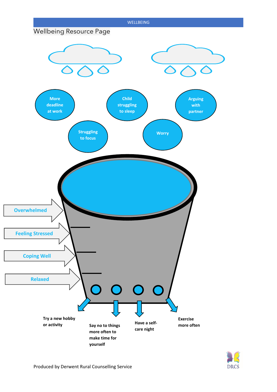

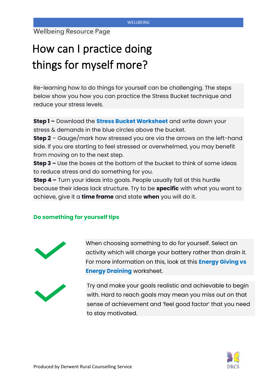# How can I practice doing things for myself more?

Re-learning how to do things for yourself can be challenging. The steps below show you how you can practice the Stress Bucket technique and reduce your stress levels.

**Step 1 –** Download the **Stress Bucket Worksheet** and write down your stress & demands in the blue circles above the bucket.

**Step 2** – Gauge/mark how stressed you are via the arrows on the left-hand side. If you are starting to feel stressed or overwhelmed, you may benefit from moving on to the next step.

**Step 3 –** Use the boxes at the bottom of the bucket to think of some ideas to reduce stress and do something for you.

**Step 4 –** Turn your ideas into goals. People usually fall at this hurdle because their ideas lack structure. Try to be **specific** with what you want to achieve, give it a **time frame** and state **when** you will do it.

### **Do something for yourself tips**



When choosing something to do for yourself. Select an activity which will charge your battery rather than drain it. For more information on this, look at this **Energy Giving vs Energy Draining** worksheet.



Try and make your goals realistic and achievable to begin with. Hard to reach goals may mean you miss out on that sense of achievement and 'feel good factor' that you need to stay motivated.

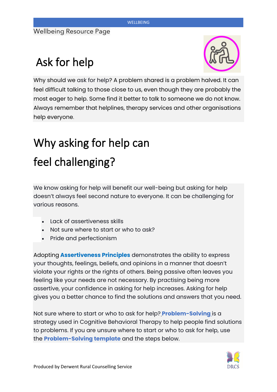# Ask for help



Why should we ask for help? A problem shared is a problem halved. It can feel difficult talking to those close to us, even though they are probably the most eager to help. Some find it better to talk to someone we do not know. Always remember that helplines, therapy services and other organisations help everyone.

# Why asking for help can feel challenging?

We know asking for help will benefit our well-being but asking for help doesn't always feel second nature to everyone. It can be challenging for various reasons.

- Lack of assertiveness skills
- Not sure where to start or who to ask?
- Pride and perfectionism

Adopting **Assertiveness Principles** demonstrates the ability to express your thoughts, feelings, beliefs, and opinions in a manner that doesn't violate your rights or the rights of others. Being passive often leaves you feeling like your needs are not necessary. By practising being more assertive, your confidence in asking for help increases. Asking for help gives you a better chance to find the solutions and answers that you need.

Not sure where to start or who to ask for help? **Problem-Solving** is a strategy used in Cognitive Behavioral Therapy to help people find solutions to problems. If you are unsure where to start or who to ask for help, use the **Problem-Solving template** and the steps below.

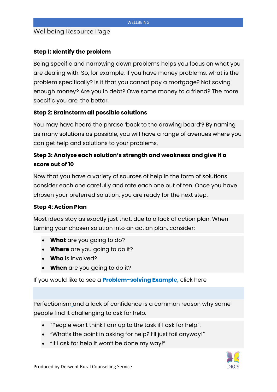## Wellbeing Resource Page

### **Step 1: Identify the problem**

Being specific and narrowing down problems helps you focus on what you are dealing with. So, for example, if you have money problems, what is the problem specifically? Is it that you cannot pay a mortgage? Not saving enough money? Are you in debt? Owe some money to a friend? The more specific you are, the better.

### **Step 2: Brainstorm all possible solutions**

You may have heard the phrase 'back to the drawing board'? By naming as many solutions as possible, you will have a range of avenues where you can get help and solutions to your problems.

## **Step 3: Analyze each solution's strength and weakness and give it a score out of 10**

Now that you have a variety of sources of help in the form of solutions consider each one carefully and rate each one out of ten. Once you have chosen your preferred solution, you are ready for the next step.

### **Step 4: Action Plan**

Most ideas stay as exactly just that, due to a lack of action plan. When turning your chosen solution into an action plan, consider:

- **What** are you going to do?
- **Where** are you going to do it?
- **Who** is involved?
- **When** are you going to do it?

If you would like to see a **Problem-solving Example,** click here

Perfectionism and a lack of confidence is a common reason why some people find it challenging to ask for help.

- "People won't think I am up to the task if I ask for help".
- "What's the point in asking for help? I'll just fail anyway!"
- "If I ask for help it won't be done my way!"

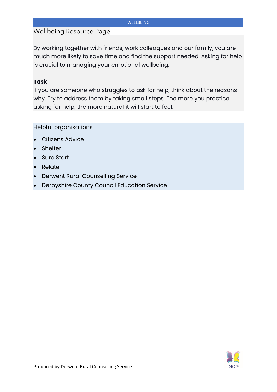By working together with friends, work colleagues and our family, you are much more likely to save time and find the support needed. Asking for help is crucial to managing your emotional wellbeing.

### **Task**

If you are someone who struggles to ask for help, think about the reasons why. Try to address them by taking small steps. The more you practice asking for help, the more natural it will start to feel.

Helpful organisations

- Citizens Advice
- Shelter
- Sure Start
- Relate
- Derwent Rural Counselling Service
- Derbyshire County Council Education Service

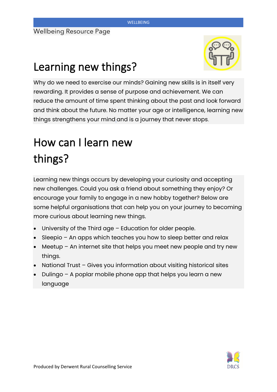

# Learning new things?

Why do we need to exercise our minds? Gaining new skills is in itself very rewarding. It provides a sense of purpose and achievement. We can reduce the amount of time spent thinking about the past and look forward and think about the future. No matter your age or intelligence, learning new things strengthens your mind and is a journey that never stops.

# How can I learn new things?

Learning new things occurs by developing your curiosity and accepting new challenges. Could you ask a friend about something they enjoy? Or encourage your family to engage in a new hobby together? Below are some helpful organisations that can help you on your journey to becoming more curious about learning new things.

- University of the Third age  $-$  Education for older people.
- Sleepio An apps which teaches you how to sleep better and relax
- Meetup An internet site that helps you meet new people and try new things.
- National Trust Gives you information about visiting historical sites
- Dulingo A poplar mobile phone app that helps you learn a new language

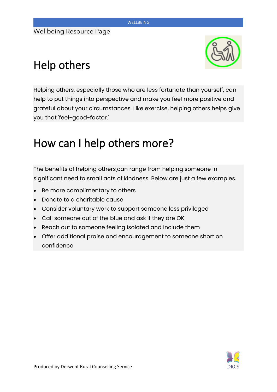# Help others



Helping others, especially those who are less fortunate than yourself, can help to put things into perspective and make you feel more positive and grateful about your circumstances. Like exercise, helping others helps give you that 'feel-good-factor.'

## How can I help others more?

The benefits of helping others can range from helping someone in significant need to small acts of kindness. Below are just a few examples.

- Be more complimentary to others
- Donate to a charitable cause
- Consider voluntary work to support someone less privileged
- Call someone out of the blue and ask if they are OK
- Reach out to someone feeling isolated and include them
- Offer additional praise and encouragement to someone short on confidence